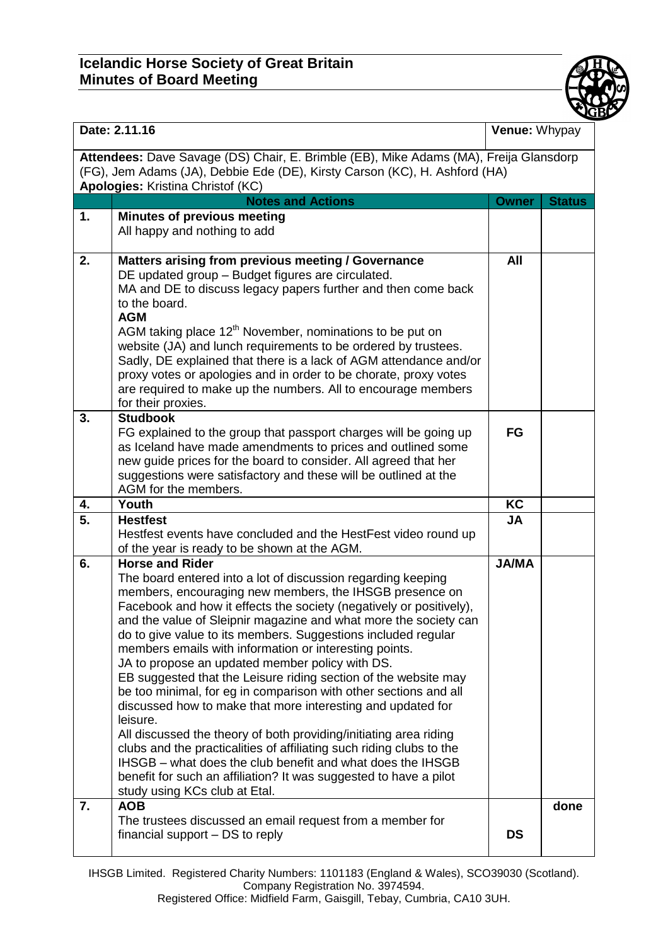## **Icelandic Horse Society of Great Britain Minutes of Board Meeting**



| Date: 2.11.16                                                                                                                                                                                                   |                                                                                                                                                                                                                                                                                                                                                                                                                                                                                                                                                                                                                                                                                                                                                                                                                                                                                                                                                                                                               | Venue: Whypay |               |  |
|-----------------------------------------------------------------------------------------------------------------------------------------------------------------------------------------------------------------|---------------------------------------------------------------------------------------------------------------------------------------------------------------------------------------------------------------------------------------------------------------------------------------------------------------------------------------------------------------------------------------------------------------------------------------------------------------------------------------------------------------------------------------------------------------------------------------------------------------------------------------------------------------------------------------------------------------------------------------------------------------------------------------------------------------------------------------------------------------------------------------------------------------------------------------------------------------------------------------------------------------|---------------|---------------|--|
| Attendees: Dave Savage (DS) Chair, E. Brimble (EB), Mike Adams (MA), Freija Glansdorp<br>(FG), Jem Adams (JA), Debbie Ede (DE), Kirsty Carson (KC), H. Ashford (HA)<br><b>Apologies: Kristina Christof (KC)</b> |                                                                                                                                                                                                                                                                                                                                                                                                                                                                                                                                                                                                                                                                                                                                                                                                                                                                                                                                                                                                               |               |               |  |
|                                                                                                                                                                                                                 | <b>Notes and Actions</b>                                                                                                                                                                                                                                                                                                                                                                                                                                                                                                                                                                                                                                                                                                                                                                                                                                                                                                                                                                                      | <b>Owner</b>  | <b>Status</b> |  |
| 1.                                                                                                                                                                                                              | <b>Minutes of previous meeting</b><br>All happy and nothing to add                                                                                                                                                                                                                                                                                                                                                                                                                                                                                                                                                                                                                                                                                                                                                                                                                                                                                                                                            |               |               |  |
| 2.                                                                                                                                                                                                              | Matters arising from previous meeting / Governance<br>DE updated group - Budget figures are circulated.<br>MA and DE to discuss legacy papers further and then come back<br>to the board.<br><b>AGM</b><br>AGM taking place 12 <sup>th</sup> November, nominations to be put on<br>website (JA) and lunch requirements to be ordered by trustees.<br>Sadly, DE explained that there is a lack of AGM attendance and/or<br>proxy votes or apologies and in order to be chorate, proxy votes<br>are required to make up the numbers. All to encourage members<br>for their proxies.                                                                                                                                                                                                                                                                                                                                                                                                                             | <b>All</b>    |               |  |
| 3.                                                                                                                                                                                                              | <b>Studbook</b><br>FG explained to the group that passport charges will be going up<br>as Iceland have made amendments to prices and outlined some<br>new guide prices for the board to consider. All agreed that her<br>suggestions were satisfactory and these will be outlined at the<br>AGM for the members.                                                                                                                                                                                                                                                                                                                                                                                                                                                                                                                                                                                                                                                                                              | FG            |               |  |
| 4.                                                                                                                                                                                                              | Youth                                                                                                                                                                                                                                                                                                                                                                                                                                                                                                                                                                                                                                                                                                                                                                                                                                                                                                                                                                                                         | KC            |               |  |
| $\overline{5}$ .                                                                                                                                                                                                | <b>Hestfest</b><br>Hestfest events have concluded and the HestFest video round up<br>of the year is ready to be shown at the AGM.                                                                                                                                                                                                                                                                                                                                                                                                                                                                                                                                                                                                                                                                                                                                                                                                                                                                             | <b>JA</b>     |               |  |
| 6.                                                                                                                                                                                                              | <b>Horse and Rider</b><br>The board entered into a lot of discussion regarding keeping<br>members, encouraging new members, the IHSGB presence on<br>Facebook and how it effects the society (negatively or positively),<br>and the value of Sleipnir magazine and what more the society can<br>do to give value to its members. Suggestions included regular<br>members emails with information or interesting points.<br>JA to propose an updated member policy with DS.<br>EB suggested that the Leisure riding section of the website may<br>be too minimal, for eg in comparison with other sections and all<br>discussed how to make that more interesting and updated for<br>leisure.<br>All discussed the theory of both providing/initiating area riding<br>clubs and the practicalities of affiliating such riding clubs to the<br>IHSGB - what does the club benefit and what does the IHSGB<br>benefit for such an affiliation? It was suggested to have a pilot<br>study using KCs club at Etal. | <b>JA/MA</b>  |               |  |
| 7.                                                                                                                                                                                                              | <b>AOB</b><br>The trustees discussed an email request from a member for<br>financial support - DS to reply                                                                                                                                                                                                                                                                                                                                                                                                                                                                                                                                                                                                                                                                                                                                                                                                                                                                                                    | <b>DS</b>     | done          |  |

IHSGB Limited. Registered Charity Numbers: 1101183 (England & Wales), SCO39030 (Scotland). Company Registration No. 3974594.

Registered Office: Midfield Farm, Gaisgill, Tebay, Cumbria, CA10 3UH.